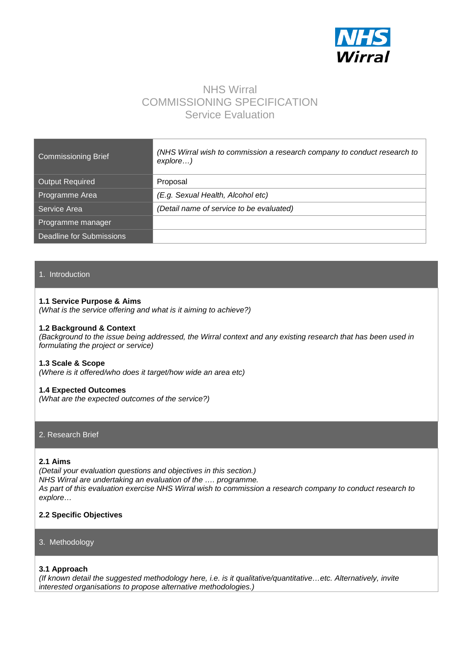

# NHS Wirral COMMISSIONING SPECIFICATION Service Evaluation

| <b>Commissioning Brief</b>      | (NHS Wirral wish to commission a research company to conduct research to<br>$explore$ ) |
|---------------------------------|-----------------------------------------------------------------------------------------|
| <b>Output Required</b>          | Proposal                                                                                |
| Programme Area                  | (E.g. Sexual Health, Alcohol etc)                                                       |
| Service Area                    | (Detail name of service to be evaluated)                                                |
| Programme manager               |                                                                                         |
| <b>Deadline for Submissions</b> |                                                                                         |

# 1. Introduction

#### **1.1 Service Purpose & Aims**

*(What is the service offering and what is it aiming to achieve?)*

#### **1.2 Background & Context**

*(Background to the issue being addressed, the Wirral context and any existing research that has been used in formulating the project or service)*

#### **1.3 Scale & Scope**

*(Where is it offered/who does it target/how wide an area etc)*

#### **1.4 Expected Outcomes**

*(What are the expected outcomes of the service?)*

#### 2. Research Brief

# **2.1 Aims**

*(Detail your evaluation questions and objectives in this section.) NHS Wirral are undertaking an evaluation of the …. programme. As part of this evaluation exercise NHS Wirral wish to commission a research company to conduct research to explore…* 

# **2.2 Specific Objectives**

#### 3. Methodology

#### **3.1 Approach**

*(If known detail the suggested methodology here, i.e. is it qualitative/quantitative…etc. Alternatively, invite interested organisations to propose alternative methodologies.)*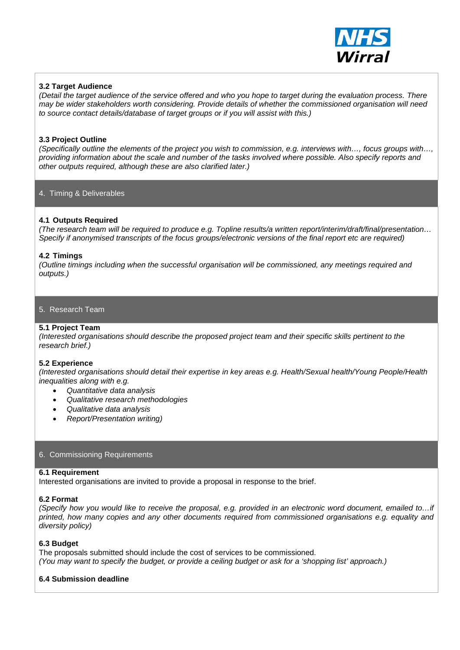

# **3.2 Target Audience**

*(Detail the target audience of the service offered and who you hope to target during the evaluation process. There may be wider stakeholders worth considering. Provide details of whether the commissioned organisation will need to source contact details/database of target groups or if you will assist with this.)*

# **3.3 Project Outline**

*(Specifically outline the elements of the project you wish to commission, e.g. interviews with…, focus groups with…, providing information about the scale and number of the tasks involved where possible. Also specify reports and other outputs required, although these are also clarified later.)*

# 4. Timing & Deliverables

# **4.1 Outputs Required**

*(The research team will be required to produce e.g. Topline results/a written report/interim/draft/final/presentation… Specify if anonymised transcripts of the focus groups/electronic versions of the final report etc are required)*

#### **4.2 Timings**

*(Outline timings including when the successful organisation will be commissioned, any meetings required and outputs.)*

# 5. Research Team

## **5.1 Project Team**

*(Interested organisations should describe the proposed project team and their specific skills pertinent to the research brief.)*

#### **5.2 Experience**

*(Interested organisations should detail their expertise in key areas e.g. Health/Sexual health/Young People/Health inequalities along with e.g.*

- *Quantitative data analysis*
- *Qualitative research methodologies*
- *Qualitative data analysis*
- *Report/Presentation writing)*

#### 6. Commissioning Requirements

## **6.1 Requirement**

Interested organisations are invited to provide a proposal in response to the brief.

#### **6.2 Format**

*(Specify how you would like to receive the proposal, e.g. provided in an electronic word document, emailed to…if printed, how many copies and any other documents required from commissioned organisations e.g. equality and diversity policy)*

#### **6.3 Budget**

The proposals submitted should include the cost of services to be commissioned. *(You may want to specify the budget, or provide a ceiling budget or ask for a 'shopping list' approach.)*

# **6.4 Submission deadline**